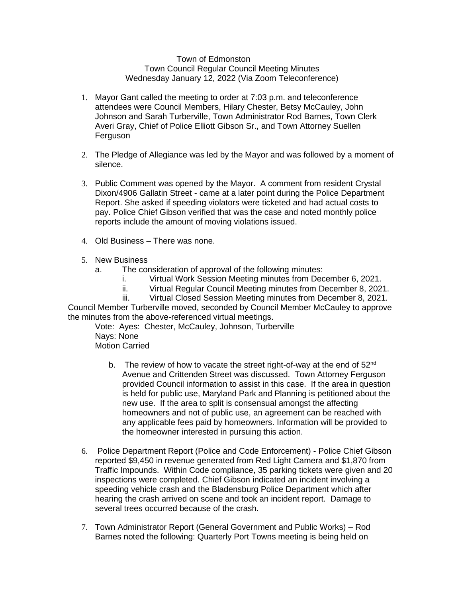## Town of Edmonston Town Council Regular Council Meeting Minutes Wednesday January 12, 2022 (Via Zoom Teleconference)

- 1. Mayor Gant called the meeting to order at 7:03 p.m. and teleconference attendees were Council Members, Hilary Chester, Betsy McCauley, John Johnson and Sarah Turberville, Town Administrator Rod Barnes, Town Clerk Averi Gray, Chief of Police Elliott Gibson Sr., and Town Attorney Suellen **Ferguson**
- 2. The Pledge of Allegiance was led by the Mayor and was followed by a moment of silence.
- 3. Public Comment was opened by the Mayor. A comment from resident Crystal Dixon/4906 Gallatin Street - came at a later point during the Police Department Report. She asked if speeding violators were ticketed and had actual costs to pay. Police Chief Gibson verified that was the case and noted monthly police reports include the amount of moving violations issued.
- 4. Old Business There was none.
- 5. New Business
	- a. The consideration of approval of the following minutes:
		- i. Virtual Work Session Meeting minutes from December 6, 2021.
		- ii. Virtual Regular Council Meeting minutes from December 8, 2021.
		- iii. Virtual Closed Session Meeting minutes from December 8, 2021.

Council Member Turberville moved, seconded by Council Member McCauley to approve the minutes from the above-referenced virtual meetings.

Vote: Ayes: Chester, McCauley, Johnson, Turberville Nays: None Motion Carried

- b. The review of how to vacate the street right-of-way at the end of 52<sup>nd</sup> Avenue and Crittenden Street was discussed. Town Attorney Ferguson provided Council information to assist in this case. If the area in question is held for public use, Maryland Park and Planning is petitioned about the new use. If the area to split is consensual amongst the affecting homeowners and not of public use, an agreement can be reached with any applicable fees paid by homeowners. Information will be provided to the homeowner interested in pursuing this action.
- 6. Police Department Report (Police and Code Enforcement) Police Chief Gibson reported \$9,450 in revenue generated from Red Light Camera and \$1,870 from Traffic Impounds. Within Code compliance, 35 parking tickets were given and 20 inspections were completed. Chief Gibson indicated an incident involving a speeding vehicle crash and the Bladensburg Police Department which after hearing the crash arrived on scene and took an incident report. Damage to several trees occurred because of the crash.
- 7. Town Administrator Report (General Government and Public Works) Rod Barnes noted the following: Quarterly Port Towns meeting is being held on